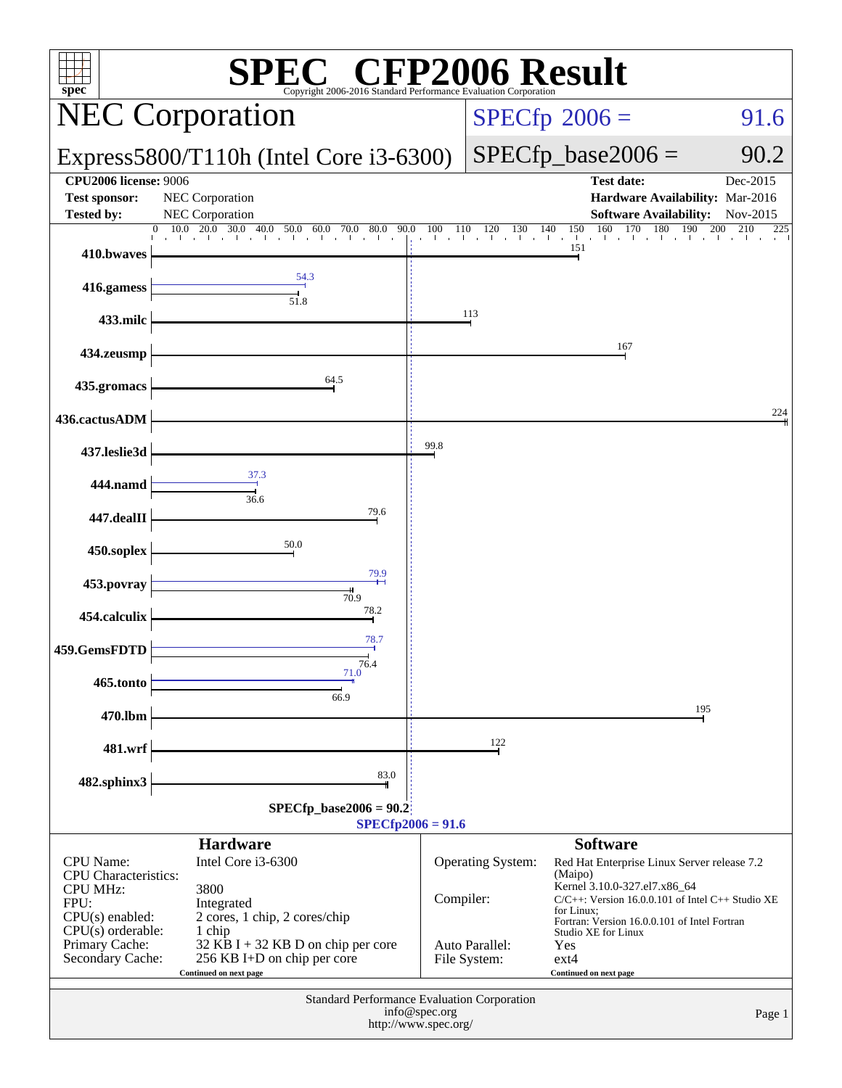| $spec^*$                                                                  | <b>EC<sup>®</sup> CFP2006 Result</b><br>SPI<br>Copyright 2006-2016 Standard Performance E             |                                       |                                |                                                                                                                                                     |                      |
|---------------------------------------------------------------------------|-------------------------------------------------------------------------------------------------------|---------------------------------------|--------------------------------|-----------------------------------------------------------------------------------------------------------------------------------------------------|----------------------|
|                                                                           | <b>NEC Corporation</b>                                                                                | $SPECfp^{\circ}2006 =$<br>91.6        |                                |                                                                                                                                                     |                      |
|                                                                           | Express5800/T110h (Intel Core $i3-6300$ )                                                             |                                       | $SPECfp\_base2006 =$           | 90.2                                                                                                                                                |                      |
| <b>CPU2006 license: 9006</b><br><b>Test sponsor:</b><br><b>Tested by:</b> | NEC Corporation<br>NEC Corporation                                                                    |                                       |                                | <b>Test date:</b><br>Hardware Availability: Mar-2016<br><b>Software Availability:</b>                                                               | Dec-2015<br>Nov-2015 |
| 410.bwaves                                                                | 10.0<br>20.0<br>30.0<br>$40.0$ 50.0 60.0 70.0 80.0<br>90.0<br>$\mathbf{0}$                            | $\sqrt{100}$ 110<br>110               | 120<br>130                     | 160<br>170<br>$\frac{140}{1}$ $\frac{150}{1}$<br>180<br>and the control<br>151                                                                      | 200<br>210<br>225    |
| 416.gamess                                                                | 54.3<br>51.8                                                                                          |                                       |                                |                                                                                                                                                     |                      |
| 433.milc                                                                  |                                                                                                       |                                       | 113                            |                                                                                                                                                     |                      |
| 434.zeusmp                                                                |                                                                                                       |                                       |                                | 167                                                                                                                                                 |                      |
| 435.gromacs                                                               | 64.5                                                                                                  |                                       |                                |                                                                                                                                                     |                      |
| 436.cactusADM                                                             |                                                                                                       |                                       |                                |                                                                                                                                                     | 224                  |
| 437.leslie3d                                                              | 37.3                                                                                                  | 99.8                                  |                                |                                                                                                                                                     |                      |
| 444.namd                                                                  | 36.6                                                                                                  |                                       |                                |                                                                                                                                                     |                      |
| 447.dealII                                                                | 79.6                                                                                                  |                                       |                                |                                                                                                                                                     |                      |
| 450.soplex                                                                | 50.0<br>79.9                                                                                          |                                       |                                |                                                                                                                                                     |                      |
| 453.povray                                                                | 70.9<br>78.2                                                                                          |                                       |                                |                                                                                                                                                     |                      |
| 454.calculix                                                              | 78.7                                                                                                  |                                       |                                |                                                                                                                                                     |                      |
| 459.GemsFDTD                                                              | 76.4<br>71.0                                                                                          |                                       |                                |                                                                                                                                                     |                      |
| 465.tonto                                                                 | 66.9                                                                                                  |                                       |                                | 195                                                                                                                                                 |                      |
| 470.lbm<br>481.wrf                                                        |                                                                                                       |                                       | 122                            |                                                                                                                                                     |                      |
| 482.sphinx3                                                               | 83.0                                                                                                  |                                       |                                |                                                                                                                                                     |                      |
|                                                                           | $SPECfp\_base2006 = 90.2$<br>$SPECfp2006 = 91.6$                                                      |                                       |                                |                                                                                                                                                     |                      |
| <b>CPU</b> Name:<br><b>CPU</b> Characteristics:                           | <b>Hardware</b><br>Intel Core i3-6300                                                                 |                                       | Operating System:              | <b>Software</b><br>Red Hat Enterprise Linux Server release 7.2<br>(Maipo)                                                                           |                      |
| <b>CPU MHz:</b><br>FPU:<br>$CPU(s)$ enabled:                              | 3800<br>Integrated<br>2 cores, 1 chip, 2 cores/chip                                                   | Compiler:                             |                                | Kernel 3.10.0-327.el7.x86_64<br>$C/C++$ : Version 16.0.0.101 of Intel $C++$ Studio XE<br>for Linux;<br>Fortran: Version 16.0.0.101 of Intel Fortran |                      |
| $CPU(s)$ orderable:<br>Primary Cache:<br>Secondary Cache:                 | 1 chip<br>32 KB I + 32 KB D on chip per core<br>256 KB I+D on chip per core<br>Continued on next page |                                       | Auto Parallel:<br>File System: | Studio XE for Linux<br>Yes<br>$ext{4}$<br>Continued on next page                                                                                    |                      |
|                                                                           | Standard Performance Evaluation Corporation                                                           | info@spec.org<br>http://www.spec.org/ |                                |                                                                                                                                                     | Page 1               |
|                                                                           |                                                                                                       |                                       |                                |                                                                                                                                                     |                      |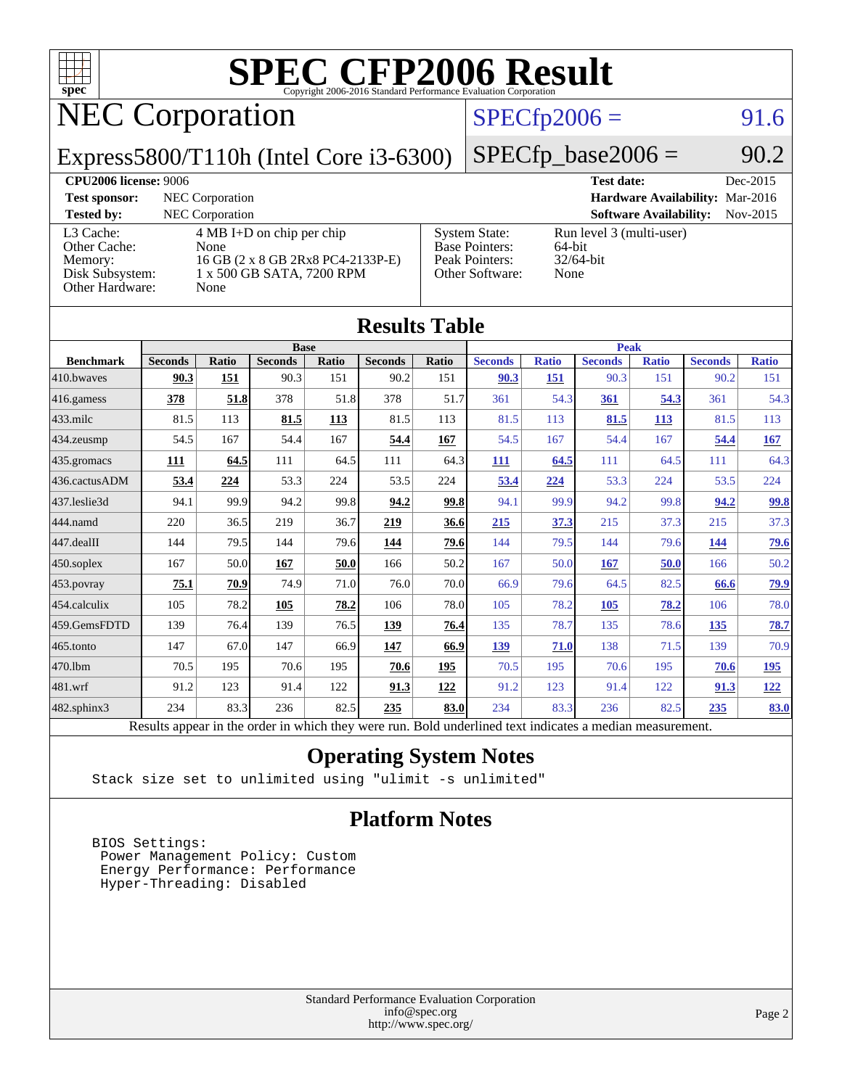

# NEC Corporation

### $SPECfp2006 = 91.6$  $SPECfp2006 = 91.6$

Express5800/T110h (Intel Core i3-6300)

 $SPECTp\_base2006 = 90.2$ 

| <b>CPU2006 license: 9006</b>                                               |                                                                                                                       | <b>Test date:</b>                                                                  | Dec-2015                                                   |          |
|----------------------------------------------------------------------------|-----------------------------------------------------------------------------------------------------------------------|------------------------------------------------------------------------------------|------------------------------------------------------------|----------|
| NEC Corporation<br><b>Test sponsor:</b>                                    |                                                                                                                       |                                                                                    | Hardware Availability: Mar-2016                            |          |
| <b>Tested by:</b>                                                          | <b>NEC</b> Corporation                                                                                                |                                                                                    | <b>Software Availability:</b>                              | Nov-2015 |
| L3 Cache:<br>Other Cache:<br>Memory:<br>Disk Subsystem:<br>Other Hardware: | $4 \text{ MB I+D}$ on chip per chip<br>None<br>16 GB (2 x 8 GB 2Rx8 PC4-2133P-E)<br>1 x 500 GB SATA, 7200 RPM<br>None | <b>System State:</b><br><b>Base Pointers:</b><br>Peak Pointers:<br>Other Software: | Run level 3 (multi-user)<br>64-bit<br>$32/64$ -bit<br>None |          |

|                   |                                                                                                          |              |                |       | <b>Results Table</b> |             |                |              |                |              |                |              |
|-------------------|----------------------------------------------------------------------------------------------------------|--------------|----------------|-------|----------------------|-------------|----------------|--------------|----------------|--------------|----------------|--------------|
|                   | <b>Base</b>                                                                                              |              |                |       |                      | <b>Peak</b> |                |              |                |              |                |              |
| <b>Benchmark</b>  | <b>Seconds</b>                                                                                           | <b>Ratio</b> | <b>Seconds</b> | Ratio | <b>Seconds</b>       | Ratio       | <b>Seconds</b> | <b>Ratio</b> | <b>Seconds</b> | <b>Ratio</b> | <b>Seconds</b> | <b>Ratio</b> |
| 410.bwayes        | 90.3                                                                                                     | 151          | 90.3           | 151   | 90.2                 | 151         | 90.3           | 151          | 90.3           | 151          | 90.2           | 151          |
| 416.gamess        | 378                                                                                                      | 51.8         | 378            | 51.8  | 378                  | 51.7        | 361            | 54.3         | 361            | 54.3         | 361            | 54.3         |
| $433$ .milc       | 81.5                                                                                                     | 113          | 81.5           | 113   | 81.5                 | 113         | 81.5           | 113          | 81.5           | 113          | 81.5           | 113          |
| 434.zeusmp        | 54.5                                                                                                     | 167          | 54.4           | 167   | 54.4                 | 167         | 54.5           | 167          | 54.4           | 167          | 54.4           | 167          |
| 435 gromacs       | 111                                                                                                      | 64.5         | 111            | 64.5  | 111                  | 64.3        | <u>111</u>     | 64.5         | 111            | 64.5         | 111            | 64.3         |
| 436.cactusADM     | 53.4                                                                                                     | 224          | 53.3           | 224   | 53.5                 | 224         | 53.4           | 224          | 53.3           | 224          | 53.5           | 224          |
| 437.leslie3d      | 94.1                                                                                                     | 99.9         | 94.2           | 99.8  | 94.2                 | 99.8        | 94.1           | 99.9         | 94.2           | 99.8         | 94.2           | <u>99.8</u>  |
| 444.namd          | 220                                                                                                      | 36.5         | 219            | 36.7  | 219                  | 36.6        | 215            | 37.3         | 215            | 37.3         | 215            | 37.3         |
| 447.dealII        | 144                                                                                                      | 79.5         | 144            | 79.6  | 144                  | 79.6        | 144            | 79.5         | 144            | 79.6         | 144            | 79.6         |
| $450$ .soplex     | 167                                                                                                      | 50.0         | 167            | 50.0  | 166                  | 50.2        | 167            | 50.0         | 167            | 50.0         | 166            | 50.2         |
| 453.povray        | 75.1                                                                                                     | 70.9         | 74.9           | 71.0  | 76.0                 | 70.0        | 66.9           | 79.6         | 64.5           | 82.5         | 66.6           | <u>79.9</u>  |
| 454.calculix      | 105                                                                                                      | 78.2         | 105            | 78.2  | 106                  | 78.0        | 105            | 78.2         | 105            | 78.2         | 106            | 78.0         |
| 459.GemsFDTD      | 139                                                                                                      | 76.4         | 139            | 76.5  | 139                  | 76.4        | 135            | 78.7         | 135            | 78.6         | 135            | 78.7         |
| 465.tonto         | 147                                                                                                      | 67.0         | 147            | 66.9  | 147                  | 66.9        | 139            | 71.0         | 138            | 71.5         | 139            | 70.9         |
| 470.1bm           | 70.5                                                                                                     | 195          | 70.6           | 195   | 70.6                 | 195         | 70.5           | 195          | 70.6           | 195          | 70.6           | <u>195</u>   |
| 481.wrf           | 91.2                                                                                                     | 123          | 91.4           | 122   | 91.3                 | 122         | 91.2           | 123          | 91.4           | 122          | 91.3           | 122          |
| $482$ .sphinx $3$ | 234                                                                                                      | 83.3         | 236            | 82.5  | 235                  | 83.0        | 234            | 83.3         | 236            | 82.5         | 235            | <b>83.0</b>  |
|                   | Results appear in the order in which they were run. Bold underlined text indicates a median measurement. |              |                |       |                      |             |                |              |                |              |                |              |

### **[Operating System Notes](http://www.spec.org/auto/cpu2006/Docs/result-fields.html#OperatingSystemNotes)**

Stack size set to unlimited using "ulimit -s unlimited"

#### **[Platform Notes](http://www.spec.org/auto/cpu2006/Docs/result-fields.html#PlatformNotes)**

 BIOS Settings: Power Management Policy: Custom Energy Performance: Performance Hyper-Threading: Disabled

> Standard Performance Evaluation Corporation [info@spec.org](mailto:info@spec.org) <http://www.spec.org/>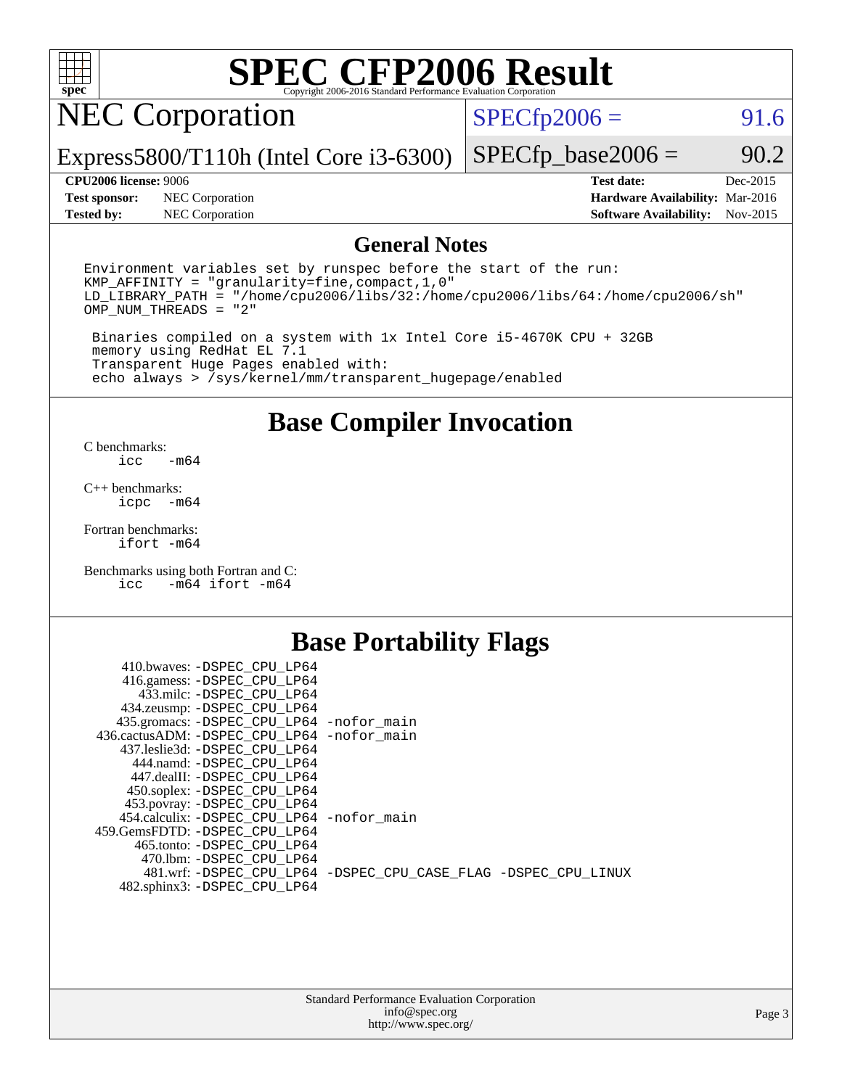

# NEC Corporation

 $SPECTp2006 = 91.6$ 

Express5800/T110h (Intel Core i3-6300)

**[Test sponsor:](http://www.spec.org/auto/cpu2006/Docs/result-fields.html#Testsponsor)** NEC Corporation **[Hardware Availability:](http://www.spec.org/auto/cpu2006/Docs/result-fields.html#HardwareAvailability)** Mar-2016

 $SPECTp\_base2006 = 90.2$ 

**[Tested by:](http://www.spec.org/auto/cpu2006/Docs/result-fields.html#Testedby)** NEC Corporation **[Software Availability:](http://www.spec.org/auto/cpu2006/Docs/result-fields.html#SoftwareAvailability)** Nov-2015

**[CPU2006 license:](http://www.spec.org/auto/cpu2006/Docs/result-fields.html#CPU2006license)** 9006 **[Test date:](http://www.spec.org/auto/cpu2006/Docs/result-fields.html#Testdate)** Dec-2015

#### **[General Notes](http://www.spec.org/auto/cpu2006/Docs/result-fields.html#GeneralNotes)**

Environment variables set by runspec before the start of the run: KMP\_AFFINITY = "granularity=fine,compact,1,0" LD\_LIBRARY\_PATH = "/home/cpu2006/libs/32:/home/cpu2006/libs/64:/home/cpu2006/sh" OMP\_NUM\_THREADS = "2"

 Binaries compiled on a system with 1x Intel Core i5-4670K CPU + 32GB memory using RedHat EL 7.1 Transparent Huge Pages enabled with: echo always > /sys/kernel/mm/transparent\_hugepage/enabled

### **[Base Compiler Invocation](http://www.spec.org/auto/cpu2006/Docs/result-fields.html#BaseCompilerInvocation)**

[C benchmarks](http://www.spec.org/auto/cpu2006/Docs/result-fields.html#Cbenchmarks):  $-m64$ 

[C++ benchmarks:](http://www.spec.org/auto/cpu2006/Docs/result-fields.html#CXXbenchmarks) [icpc -m64](http://www.spec.org/cpu2006/results/res2016q1/cpu2006-20160125-38829.flags.html#user_CXXbase_intel_icpc_64bit_bedb90c1146cab66620883ef4f41a67e)

[Fortran benchmarks](http://www.spec.org/auto/cpu2006/Docs/result-fields.html#Fortranbenchmarks): [ifort -m64](http://www.spec.org/cpu2006/results/res2016q1/cpu2006-20160125-38829.flags.html#user_FCbase_intel_ifort_64bit_ee9d0fb25645d0210d97eb0527dcc06e)

[Benchmarks using both Fortran and C](http://www.spec.org/auto/cpu2006/Docs/result-fields.html#BenchmarksusingbothFortranandC): [icc -m64](http://www.spec.org/cpu2006/results/res2016q1/cpu2006-20160125-38829.flags.html#user_CC_FCbase_intel_icc_64bit_0b7121f5ab7cfabee23d88897260401c) [ifort -m64](http://www.spec.org/cpu2006/results/res2016q1/cpu2006-20160125-38829.flags.html#user_CC_FCbase_intel_ifort_64bit_ee9d0fb25645d0210d97eb0527dcc06e)

### **[Base Portability Flags](http://www.spec.org/auto/cpu2006/Docs/result-fields.html#BasePortabilityFlags)**

| 410.bwaves: -DSPEC CPU LP64                 |                                                                |
|---------------------------------------------|----------------------------------------------------------------|
| 416.gamess: -DSPEC_CPU_LP64                 |                                                                |
| 433.milc: -DSPEC CPU LP64                   |                                                                |
| 434.zeusmp: -DSPEC_CPU_LP64                 |                                                                |
| 435.gromacs: -DSPEC_CPU_LP64 -nofor_main    |                                                                |
| 436.cactusADM: -DSPEC CPU LP64 -nofor main  |                                                                |
| 437.leslie3d: -DSPEC CPU LP64               |                                                                |
| 444.namd: -DSPEC CPU LP64                   |                                                                |
| 447.dealII: -DSPEC CPU LP64                 |                                                                |
| 450.soplex: -DSPEC_CPU_LP64                 |                                                                |
| 453.povray: -DSPEC_CPU_LP64                 |                                                                |
| 454.calculix: - DSPEC CPU LP64 - nofor main |                                                                |
| 459. GemsFDTD: - DSPEC CPU LP64             |                                                                |
| 465.tonto: - DSPEC CPU LP64                 |                                                                |
| 470.1bm: - DSPEC CPU LP64                   |                                                                |
|                                             | 481.wrf: -DSPEC_CPU_LP64 -DSPEC_CPU_CASE_FLAG -DSPEC_CPU_LINUX |
| 482.sphinx3: -DSPEC_CPU_LP64                |                                                                |
|                                             |                                                                |

| <b>Standard Performance Evaluation Corporation</b> |
|----------------------------------------------------|
| info@spec.org                                      |
| http://www.spec.org/                               |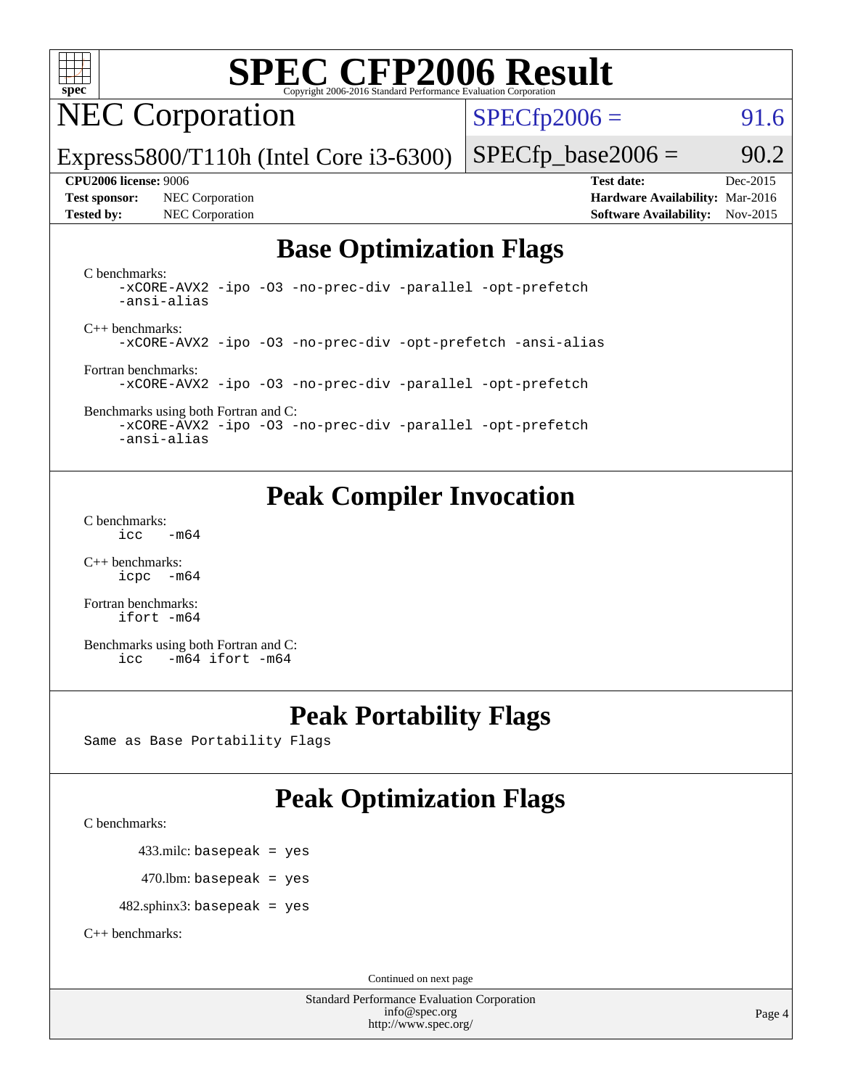

NEC Corporation

 $SPECTp2006 = 91.6$ 

Express5800/T110h (Intel Core i3-6300)

**[Tested by:](http://www.spec.org/auto/cpu2006/Docs/result-fields.html#Testedby)** NEC Corporation **[Software Availability:](http://www.spec.org/auto/cpu2006/Docs/result-fields.html#SoftwareAvailability)** Nov-2015

 $SPECTp\_base2006 = 90.2$ **[CPU2006 license:](http://www.spec.org/auto/cpu2006/Docs/result-fields.html#CPU2006license)** 9006 **[Test date:](http://www.spec.org/auto/cpu2006/Docs/result-fields.html#Testdate)** Dec-2015 **[Test sponsor:](http://www.spec.org/auto/cpu2006/Docs/result-fields.html#Testsponsor)** NEC Corporation **[Hardware Availability:](http://www.spec.org/auto/cpu2006/Docs/result-fields.html#HardwareAvailability)** Mar-2016

## **[Base Optimization Flags](http://www.spec.org/auto/cpu2006/Docs/result-fields.html#BaseOptimizationFlags)**

[C benchmarks](http://www.spec.org/auto/cpu2006/Docs/result-fields.html#Cbenchmarks):

[-xCORE-AVX2](http://www.spec.org/cpu2006/results/res2016q1/cpu2006-20160125-38829.flags.html#user_CCbase_f-xAVX2_5f5fc0cbe2c9f62c816d3e45806c70d7) [-ipo](http://www.spec.org/cpu2006/results/res2016q1/cpu2006-20160125-38829.flags.html#user_CCbase_f-ipo) [-O3](http://www.spec.org/cpu2006/results/res2016q1/cpu2006-20160125-38829.flags.html#user_CCbase_f-O3) [-no-prec-div](http://www.spec.org/cpu2006/results/res2016q1/cpu2006-20160125-38829.flags.html#user_CCbase_f-no-prec-div) [-parallel](http://www.spec.org/cpu2006/results/res2016q1/cpu2006-20160125-38829.flags.html#user_CCbase_f-parallel) [-opt-prefetch](http://www.spec.org/cpu2006/results/res2016q1/cpu2006-20160125-38829.flags.html#user_CCbase_f-opt-prefetch) [-ansi-alias](http://www.spec.org/cpu2006/results/res2016q1/cpu2006-20160125-38829.flags.html#user_CCbase_f-ansi-alias) [C++ benchmarks:](http://www.spec.org/auto/cpu2006/Docs/result-fields.html#CXXbenchmarks)

[-xCORE-AVX2](http://www.spec.org/cpu2006/results/res2016q1/cpu2006-20160125-38829.flags.html#user_CXXbase_f-xAVX2_5f5fc0cbe2c9f62c816d3e45806c70d7) [-ipo](http://www.spec.org/cpu2006/results/res2016q1/cpu2006-20160125-38829.flags.html#user_CXXbase_f-ipo) [-O3](http://www.spec.org/cpu2006/results/res2016q1/cpu2006-20160125-38829.flags.html#user_CXXbase_f-O3) [-no-prec-div](http://www.spec.org/cpu2006/results/res2016q1/cpu2006-20160125-38829.flags.html#user_CXXbase_f-no-prec-div) [-opt-prefetch](http://www.spec.org/cpu2006/results/res2016q1/cpu2006-20160125-38829.flags.html#user_CXXbase_f-opt-prefetch) [-ansi-alias](http://www.spec.org/cpu2006/results/res2016q1/cpu2006-20160125-38829.flags.html#user_CXXbase_f-ansi-alias)

[Fortran benchmarks](http://www.spec.org/auto/cpu2006/Docs/result-fields.html#Fortranbenchmarks): [-xCORE-AVX2](http://www.spec.org/cpu2006/results/res2016q1/cpu2006-20160125-38829.flags.html#user_FCbase_f-xAVX2_5f5fc0cbe2c9f62c816d3e45806c70d7) [-ipo](http://www.spec.org/cpu2006/results/res2016q1/cpu2006-20160125-38829.flags.html#user_FCbase_f-ipo) [-O3](http://www.spec.org/cpu2006/results/res2016q1/cpu2006-20160125-38829.flags.html#user_FCbase_f-O3) [-no-prec-div](http://www.spec.org/cpu2006/results/res2016q1/cpu2006-20160125-38829.flags.html#user_FCbase_f-no-prec-div) [-parallel](http://www.spec.org/cpu2006/results/res2016q1/cpu2006-20160125-38829.flags.html#user_FCbase_f-parallel) [-opt-prefetch](http://www.spec.org/cpu2006/results/res2016q1/cpu2006-20160125-38829.flags.html#user_FCbase_f-opt-prefetch)

[Benchmarks using both Fortran and C](http://www.spec.org/auto/cpu2006/Docs/result-fields.html#BenchmarksusingbothFortranandC): [-xCORE-AVX2](http://www.spec.org/cpu2006/results/res2016q1/cpu2006-20160125-38829.flags.html#user_CC_FCbase_f-xAVX2_5f5fc0cbe2c9f62c816d3e45806c70d7) [-ipo](http://www.spec.org/cpu2006/results/res2016q1/cpu2006-20160125-38829.flags.html#user_CC_FCbase_f-ipo) [-O3](http://www.spec.org/cpu2006/results/res2016q1/cpu2006-20160125-38829.flags.html#user_CC_FCbase_f-O3) [-no-prec-div](http://www.spec.org/cpu2006/results/res2016q1/cpu2006-20160125-38829.flags.html#user_CC_FCbase_f-no-prec-div) [-parallel](http://www.spec.org/cpu2006/results/res2016q1/cpu2006-20160125-38829.flags.html#user_CC_FCbase_f-parallel) [-opt-prefetch](http://www.spec.org/cpu2006/results/res2016q1/cpu2006-20160125-38829.flags.html#user_CC_FCbase_f-opt-prefetch)

[-ansi-alias](http://www.spec.org/cpu2006/results/res2016q1/cpu2006-20160125-38829.flags.html#user_CC_FCbase_f-ansi-alias)

## **[Peak Compiler Invocation](http://www.spec.org/auto/cpu2006/Docs/result-fields.html#PeakCompilerInvocation)**

[C benchmarks](http://www.spec.org/auto/cpu2006/Docs/result-fields.html#Cbenchmarks):  $\text{icc}$   $-\text{m64}$ 

[C++ benchmarks:](http://www.spec.org/auto/cpu2006/Docs/result-fields.html#CXXbenchmarks) [icpc -m64](http://www.spec.org/cpu2006/results/res2016q1/cpu2006-20160125-38829.flags.html#user_CXXpeak_intel_icpc_64bit_bedb90c1146cab66620883ef4f41a67e)

[Fortran benchmarks](http://www.spec.org/auto/cpu2006/Docs/result-fields.html#Fortranbenchmarks): [ifort -m64](http://www.spec.org/cpu2006/results/res2016q1/cpu2006-20160125-38829.flags.html#user_FCpeak_intel_ifort_64bit_ee9d0fb25645d0210d97eb0527dcc06e)

[Benchmarks using both Fortran and C](http://www.spec.org/auto/cpu2006/Docs/result-fields.html#BenchmarksusingbothFortranandC): [icc -m64](http://www.spec.org/cpu2006/results/res2016q1/cpu2006-20160125-38829.flags.html#user_CC_FCpeak_intel_icc_64bit_0b7121f5ab7cfabee23d88897260401c) [ifort -m64](http://www.spec.org/cpu2006/results/res2016q1/cpu2006-20160125-38829.flags.html#user_CC_FCpeak_intel_ifort_64bit_ee9d0fb25645d0210d97eb0527dcc06e)

## **[Peak Portability Flags](http://www.spec.org/auto/cpu2006/Docs/result-fields.html#PeakPortabilityFlags)**

Same as Base Portability Flags

# **[Peak Optimization Flags](http://www.spec.org/auto/cpu2006/Docs/result-fields.html#PeakOptimizationFlags)**

[C benchmarks](http://www.spec.org/auto/cpu2006/Docs/result-fields.html#Cbenchmarks):

433.milc: basepeak = yes

 $470$ .lbm: basepeak = yes

482.sphinx3: basepeak = yes

[C++ benchmarks:](http://www.spec.org/auto/cpu2006/Docs/result-fields.html#CXXbenchmarks)

Continued on next page

Standard Performance Evaluation Corporation [info@spec.org](mailto:info@spec.org) <http://www.spec.org/>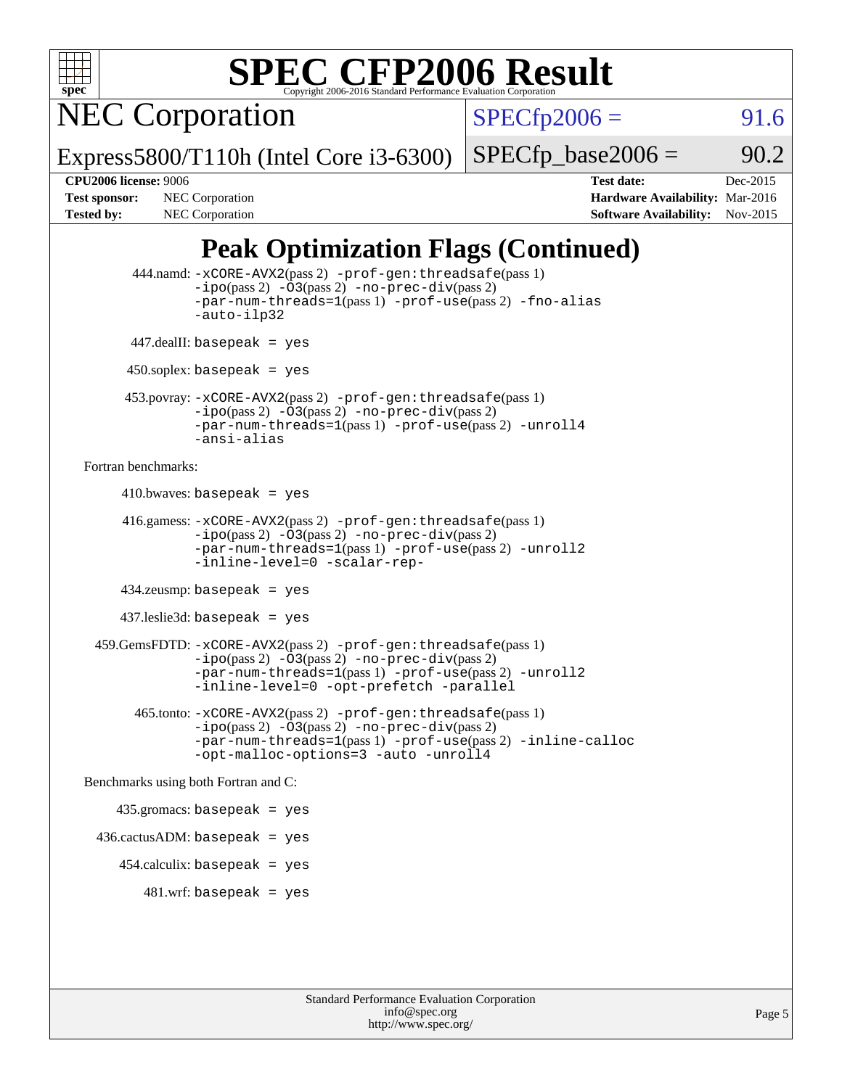

NEC Corporation

 $SPECfp2006 = 91.6$  $SPECfp2006 = 91.6$ 

Express5800/T110h (Intel Core i3-6300)

 $SPECTp\_base2006 = 90.2$ 

**[CPU2006 license:](http://www.spec.org/auto/cpu2006/Docs/result-fields.html#CPU2006license)** 9006 **[Test date:](http://www.spec.org/auto/cpu2006/Docs/result-fields.html#Testdate)** Dec-2015 **[Test sponsor:](http://www.spec.org/auto/cpu2006/Docs/result-fields.html#Testsponsor)** NEC Corporation **NEC Corporation [Hardware Availability:](http://www.spec.org/auto/cpu2006/Docs/result-fields.html#HardwareAvailability)** Mar-2016 [Tested by:](http://www.spec.org/auto/cpu2006/Docs/result-fields.html#Testedby) NEC Corporation **[Software Availability:](http://www.spec.org/auto/cpu2006/Docs/result-fields.html#SoftwareAvailability)** Nov-2015

## **[Peak Optimization Flags \(Continued\)](http://www.spec.org/auto/cpu2006/Docs/result-fields.html#PeakOptimizationFlags)**

```
 444.namd: -xCORE-AVX2(pass 2) -prof-gen:threadsafe(pass 1)
               -ipo(pass 2) -03(pass 2) -no-prec-div(pass 2)
               -par-num-threads=1(pass 1) -prof-use(pass 2) -fno-alias
               -auto-ilp32
      447.dealII: basepeak = yes
       450.soplex: basepeak = yes
      453.povray: -xCORE-AVX2(pass 2) -prof-gen:threadsafe(pass 1)
               -no-prec-div(pass 2)-par-num-threads=1(pass 1) -prof-use(pass 2) -unroll4
               -ansi-alias
Fortran benchmarks: 
     410.bwaves: basepeak = yes 416.gamess: -xCORE-AVX2(pass 2) -prof-gen:threadsafe(pass 1)
               -ipo(pass 2) -03(pass 2) -no-prec-div(pass 2)-par-num-threads=1(pass 1) -prof-use(pass 2) -unroll2
               -inline-level=0 -scalar-rep-
      434.zeusmp: basepeak = yes
      437.leslie3d: basepeak = yes
  459.GemsFDTD: -xCORE-AVX2(pass 2) -prof-gen:threadsafe(pass 1)
               -i\text{po}(pass 2) -\tilde{O}3(pass 2)-no-prec-div(pass 2)
               -par-num-threads=1(pass 1) -prof-use(pass 2) -unroll2
               -inline-level=0 -opt-prefetch -parallel
        465.tonto: -xCORE-AVX2(pass 2) -prof-gen:threadsafe(pass 1)
               -no-prec-div(pass 2)-par-num-threads=1(pass 1) -prof-use(pass 2) -inline-calloc
               -opt-malloc-options=3 -auto -unroll4
Benchmarks using both Fortran and C: 
     435.gromacs: basepeak = yes
  436.cactusADM: basepeak = yes
      454.calculix: basepeak = yes
        481 \text{.m}: basepeak = yes
```